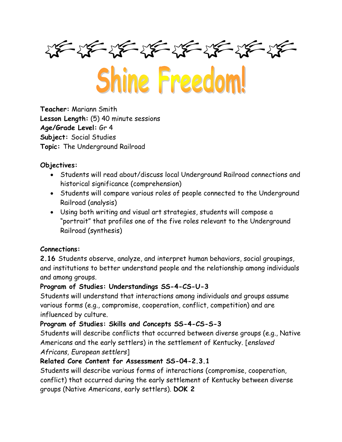$\frac{1}{2} \frac{1}{2} \frac{1}{2} \frac{1}{2} \frac{1}{2} \frac{1}{2} \frac{1}{2} \frac{1}{2} \frac{1}{2} \frac{1}{2} \frac{1}{2} \frac{1}{2} \frac{1}{2} \frac{1}{2} \frac{1}{2} \frac{1}{2} \frac{1}{2} \frac{1}{2} \frac{1}{2} \frac{1}{2} \frac{1}{2} \frac{1}{2} \frac{1}{2} \frac{1}{2} \frac{1}{2} \frac{1}{2} \frac{1}{2} \frac{1}{2} \frac{1}{2} \frac{1}{2} \frac{1}{2} \frac{$ 

Shine Freedom!

**Teacher:** Mariann Smith **Lesson Length:** (5) 40 minute sessions **Age/Grade Level:** Gr 4 **Subject:** Social Studies **Topic:** The Underground Railroad

## **Objectives:**

- Students will read about/discuss local Underground Railroad connections and historical significance (comprehension)
- Students will compare various roles of people connected to the Underground Railroad (analysis)
- Using both writing and visual art strategies, students will compose a "portrait" that profiles one of the five roles relevant to the Underground Railroad (synthesis)

#### **Connections:**

**2.16** Students observe, analyze, and interpret human behaviors, social groupings, and institutions to better understand people and the relationship among individuals and among groups.

#### **Program of Studies: Understandings SS-4-CS-U-3**

Students will understand that interactions among individuals and groups assume various forms (e.g., compromise, cooperation, conflict, competition) and are influenced by culture.

## **Program of Studies: Skills and Concepts SS-4-CS-S-3**

Students will describe conflicts that occurred between diverse groups (e.g., Native Americans and the early settlers) in the settlement of Kentucky. [*enslaved Africans, European settlers*]

## **Related Core Content for Assessment SS-04-2.3.1**

Students will describe various forms of interactions (compromise, cooperation, conflict) that occurred during the early settlement of Kentucky between diverse groups (Native Americans, early settlers). **DOK 2**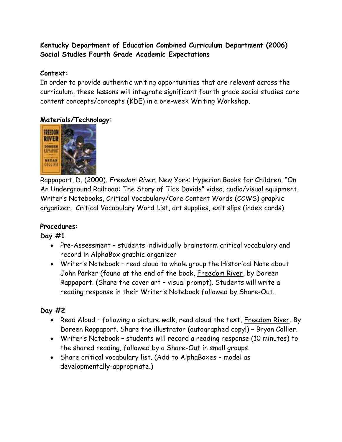## **Kentucky Department of Education Combined Curriculum Department (2006) Social Studies Fourth Grade Academic Expectations**

#### **Context:**

In order to provide authentic writing opportunities that are relevant across the curriculum, these lessons will integrate significant fourth grade social studies core content concepts/concepts (KDE) in a one-week Writing Workshop.

#### **Materials/Technology:**



Rappaport, D. (2000). *Freedom River.* New York: Hyperion Books for Children, "On An Underground Railroad: The Story of Tice Davids" video, audio/visual equipment, Writer's Notebooks, Critical Vocabulary/Core Content Words (CCWS) graphic organizer, Critical Vocabulary Word List, art supplies, exit slips (index cards)

#### **Procedures:**

#### **Day #1**

- Pre-Assessment students individually brainstorm critical vocabulary and record in AlphaBox graphic organizer
- Writer's Notebook read aloud to whole group the Historical Note about John Parker (found at the end of the book, Freedom River, by Doreen Rappaport. (Share the cover art – visual prompt). Students will write a reading response in their Writer's Notebook followed by Share-Out.

## **Day #2**

- Read Aloud following a picture walk, read aloud the text, <u>Freedom River</u>. By Doreen Rappaport. Share the illustrator (autographed copy!) – Bryan Collier.
- Writer's Notebook students will record a reading response (10 minutes) to the shared reading, followed by a Share-Out in small groups.
- Share critical vocabulary list. (Add to AlphaBoxes model as developmentally-appropriate.)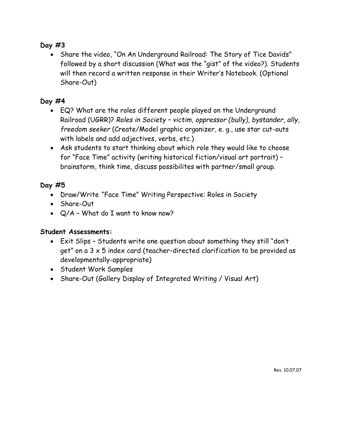## **Day #3**

• Share the video, "On An Underground Railroad: The Story of Tice Davids" followed by a short discussion (What was the "gist" of the video?). Students will then record a written response in their Writer's Notebook. (Optional Share-Out)

## **Day #4**

- EQ? What are the roles different people played on the Underground Railroad (UGRR)? *Roles in Society – victim, oppressor (bully), bystander, ally, freedom seeker* (Create/Model graphic organizer, e. g., use star cut-outs with labels and add adjectives, verbs, etc.)
- Ask students to start thinking about which role they would like to choose for "Face Time" activity (writing historical fiction/visual art portrait) – brainstorm, think time, discuss possibilites with partner/small group.

#### **Day #5**

- Draw/Write "Face Time" Writing Perspective: Roles in Society
- Share-Out
- Q/A What do I want to know now?

#### **Student Assessments:**

- Exit Slips Students write one question about something they still "don't get" on a 3 x 5 index card (teacher-directed clarification to be provided as developmentally-appropriate)
- Student Work Samples
- Share-Out (Gallery Display of Integrated Writing / Visual Art)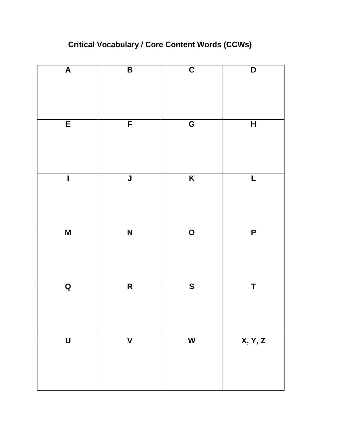# **Critical Vocabulary / Core Content Words (CCWs)**

| $\overline{\mathsf{A}}$ | $\overline{\mathsf{B}}$ | $\overline{\mathbf{C}}$ | $\overline{\mathsf{D}}$ |
|-------------------------|-------------------------|-------------------------|-------------------------|
| $\overline{E}$          | $\overline{F}$          | G                       | $\overline{H}$          |
| $\overline{\mathbf{I}}$ | $\overline{\mathsf{J}}$ | $\overline{\mathsf{K}}$ | $\overline{L}$          |
| M                       | N                       | $\overline{O}$          | $\overline{P}$          |
| $\overline{\mathbf{Q}}$ | $\overline{\mathsf{R}}$ | $\overline{\mathbf{s}}$ | $\overline{\mathsf{T}}$ |
| $\bigcup$               | $\overline{\mathsf{V}}$ | $\overline{\mathbf{W}}$ | X, Y, Z                 |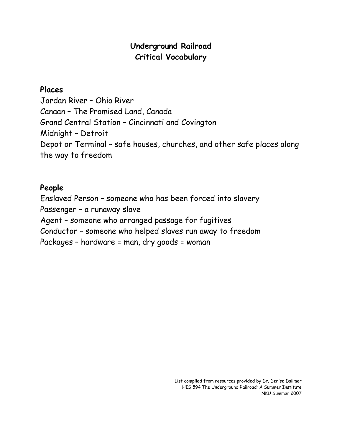## **Underground Railroad Critical Vocabulary**

## **Places**

Jordan River – Ohio River Canaan – The Promised Land, Canada Grand Central Station – Cincinnati and Covington Midnight – Detroit Depot or Terminal – safe houses, churches, and other safe places along the way to freedom

## **People**

Enslaved Person – someone who has been forced into slavery Passenger – a runaway slave Agent – someone who arranged passage for fugitives Conductor – someone who helped slaves run away to freedom Packages – hardware = man, dry goods = woman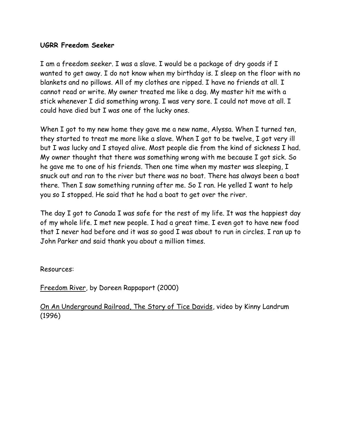#### **UGRR Freedom Seeker**

I am a freedom seeker. I was a slave. I would be a package of dry goods if I wanted to get away. I do not know when my birthday is. I sleep on the floor with no blankets and no pillows. All of my clothes are ripped. I have no friends at all. I cannot read or write. My owner treated me like a dog. My master hit me with a stick whenever I did something wrong. I was very sore. I could not move at all. I could have died but I was one of the lucky ones.

When I got to my new home they gave me a new name, Alyssa. When I turned ten, they started to treat me more like a slave. When I got to be twelve, I got very ill but I was lucky and I stayed alive. Most people die from the kind of sickness I had. My owner thought that there was something wrong with me because I got sick. So he gave me to one of his friends. Then one time when my master was sleeping, I snuck out and ran to the river but there was no boat. There has always been a boat there. Then I saw something running after me. So I ran. He yelled I want to help you so I stopped. He said that he had a boat to get over the river.

The day I got to Canada I was safe for the rest of my life. It was the happiest day of my whole life. I met new people. I had a great time. I even got to have new food that I never had before and it was so good I was about to run in circles. I ran up to John Parker and said thank you about a million times.

Resources:

Freedom River, by Doreen Rappaport (2000)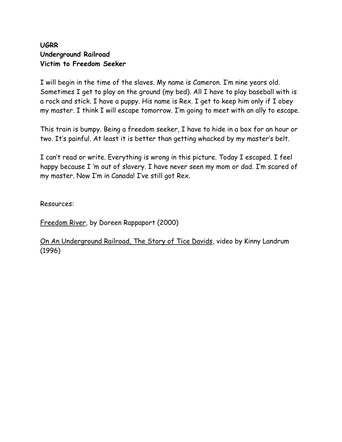## **UGRR Underground Railroad Victim to Freedom Seeker**

I will begin in the time of the slaves. My name is Cameron. I'm nine years old. Sometimes I get to play on the ground (my bed). All I have to play baseball with is a rock and stick. I have a puppy. His name is Rex. I get to keep him only if I obey my master. I think I will escape tomorrow. I'm going to meet with an ally to escape.

This train is bumpy. Being a freedom seeker, I have to hide in a box for an hour or two. It's painful. At least it is better than getting whacked by my master's belt.

I can't read or write. Everything is wrong in this picture. Today I escaped. I feel happy because I 'm out of slavery. I have never seen my mom or dad. I'm scared of my master. Now I'm in Canada! I've still got Rex.

Resources:

Freedom River, by Doreen Rappaport (2000)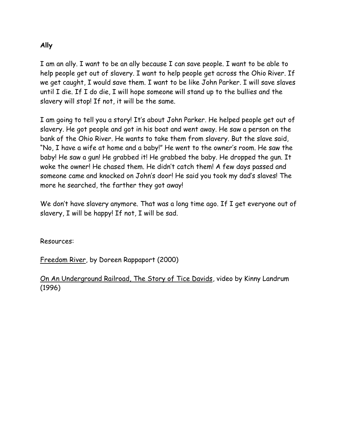#### **Ally**

I am an ally. I want to be an ally because I can save people. I want to be able to help people get out of slavery. I want to help people get across the Ohio River. If we get caught, I would save them. I want to be like John Parker. I will save slaves until I die. If I do die, I will hope someone will stand up to the bullies and the slavery will stop! If not, it will be the same.

I am going to tell you a story! It's about John Parker. He helped people get out of slavery. He got people and got in his boat and went away. He saw a person on the bank of the Ohio River. He wants to take them from slavery. But the slave said, "No, I have a wife at home and a baby!" He went to the owner's room. He saw the baby! He saw a gun! He grabbed it! He grabbed the baby. He dropped the gun. It woke the owner! He chased them. He didn't catch them! A few days passed and someone came and knocked on John's door! He said you took my dad's slaves! The more he searched, the farther they got away!

We don't have slavery anymore. That was a long time ago. If I get everyone out of slavery, I will be happy! If not, I will be sad.

Resources:

Freedom River, by Doreen Rappaport (2000)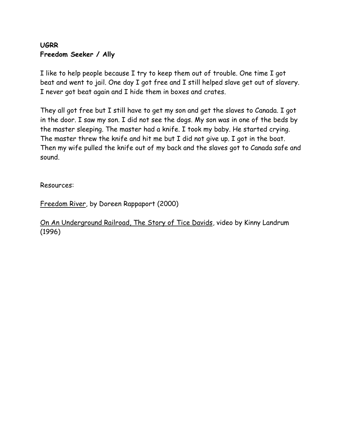## **UGRR Freedom Seeker / Ally**

I like to help people because I try to keep them out of trouble. One time I got beat and went to jail. One day I got free and I still helped slave get out of slavery. I never got beat again and I hide them in boxes and crates.

They all got free but I still have to get my son and get the slaves to Canada. I got in the door. I saw my son. I did not see the dogs. My son was in one of the beds by the master sleeping. The master had a knife. I took my baby. He started crying. The master threw the knife and hit me but I did not give up. I got in the boat. Then my wife pulled the knife out of my back and the slaves got to Canada safe and sound.

Resources:

Freedom River, by Doreen Rappaport (2000)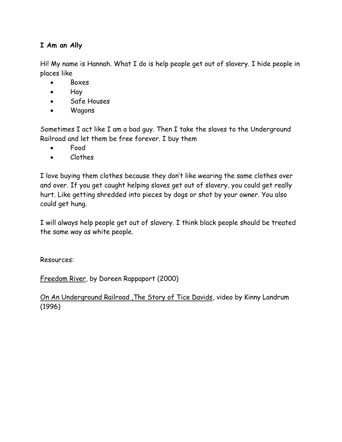## **I Am an Ally**

Hi! My name is Hannah. What I do is help people get out of slavery. I hide people in places like

- Boxes
- Hay
- Safe Houses
- Wagons

Sometimes I act like I am a bad guy. Then I take the slaves to the Underground Railroad and let them be free forever. I buy them

- Food
- Clothes

I love buying them clothes because they don't like wearing the same clothes over and over. If you get caught helping slaves get out of slavery, you could get really hurt. Like getting shredded into pieces by dogs or shot by your owner. You also could get hung.

I will always help people get out of slavery. I think black people should be treated the same way as white people.

Resources:

Freedom River, by Doreen Rappaport (2000)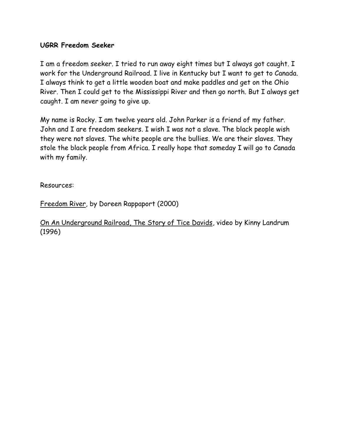#### **UGRR Freedom Seeker**

I am a freedom seeker. I tried to run away eight times but I always got caught. I work for the Underground Railroad. I live in Kentucky but I want to get to Canada. I always think to get a little wooden boat and make paddles and get on the Ohio River. Then I could get to the Mississippi River and then go north. But I always get caught. I am never going to give up.

My name is Rocky. I am twelve years old. John Parker is a friend of my father. John and I are freedom seekers. I wish I was not a slave. The black people wish they were not slaves. The white people are the bullies. We are their slaves. They stole the black people from Africa. I really hope that someday I will go to Canada with my family.

Resources:

Freedom River, by Doreen Rappaport (2000)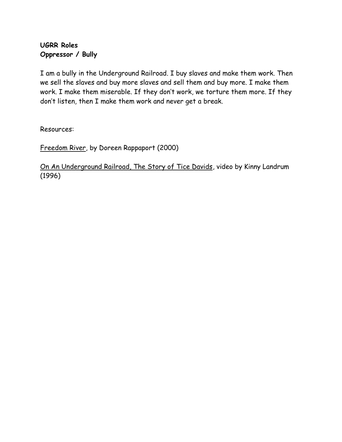## **UGRR Roles Oppressor / Bully**

I am a bully in the Underground Railroad. I buy slaves and make them work. Then we sell the slaves and buy more slaves and sell them and buy more. I make them work. I make them miserable. If they don't work, we torture them more. If they don't listen, then I make them work and never get a break.

Resources:

Freedom River, by Doreen Rappaport (2000)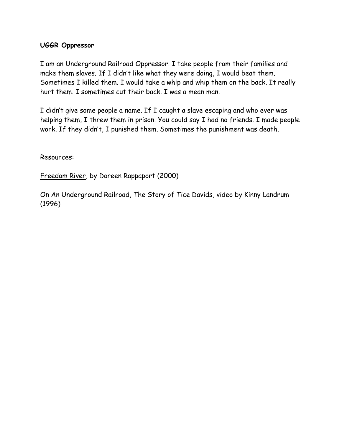#### **UGGR Oppressor**

I am an Underground Railroad Oppressor. I take people from their families and make them slaves. If I didn't like what they were doing, I would beat them. Sometimes I killed them. I would take a whip and whip them on the back. It really hurt them. I sometimes cut their back. I was a mean man.

I didn't give some people a name. If I caught a slave escaping and who ever was helping them, I threw them in prison. You could say I had no friends. I made people work. If they didn't, I punished them. Sometimes the punishment was death.

Resources:

Freedom River, by Doreen Rappaport (2000)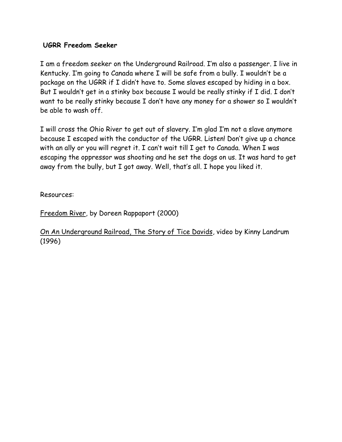#### **UGRR Freedom Seeker**

I am a freedom seeker on the Underground Railroad. I'm also a passenger. I live in Kentucky. I'm going to Canada where I will be safe from a bully. I wouldn't be a package on the UGRR if I didn't have to. Some slaves escaped by hiding in a box. But I wouldn't get in a stinky box because I would be really stinky if I did. I don't want to be really stinky because I don't have any money for a shower so I wouldn't be able to wash off.

I will cross the Ohio River to get out of slavery. I'm glad I'm not a slave anymore because I escaped with the conductor of the UGRR. Listen! Don't give up a chance with an ally or you will regret it. I can't wait till I get to Canada. When I was escaping the oppressor was shooting and he set the dogs on us. It was hard to get away from the bully, but I got away. Well, that's all. I hope you liked it.

Resources:

Freedom River, by Doreen Rappaport (2000)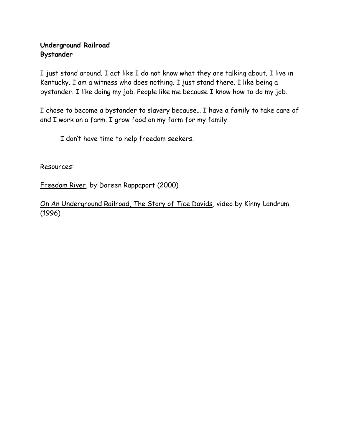## **Underground Railroad Bystander**

I just stand around. I act like I do not know what they are talking about. I live in Kentucky. I am a witness who does nothing. I just stand there. I like being a bystander. I like doing my job. People like me because I know how to do my job.

I chose to become a bystander to slavery because… I have a family to take care of and I work on a farm. I grow food on my farm for my family.

I don't have time to help freedom seekers.

Resources:

Freedom River, by Doreen Rappaport (2000)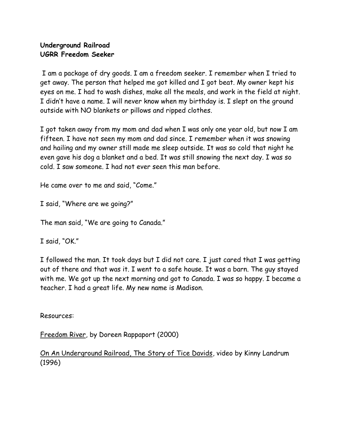### **Underground Railroad UGRR Freedom Seeker**

I am a package of dry goods. I am a freedom seeker. I remember when I tried to get away. The person that helped me got killed and I got beat. My owner kept his eyes on me. I had to wash dishes, make all the meals, and work in the field at night. I didn't have a name. I will never know when my birthday is. I slept on the ground outside with NO blankets or pillows and ripped clothes.

I got taken away from my mom and dad when I was only one year old, but now I am fifteen. I have not seen my mom and dad since. I remember when it was snowing and hailing and my owner still made me sleep outside. It was so cold that night he even gave his dog a blanket and a bed. It was still snowing the next day. I was so cold. I saw someone. I had not ever seen this man before.

He came over to me and said, "Come."

I said, "Where are we going?"

The man said, "We are going to Canada."

I said, "OK."

I followed the man. It took days but I did not care. I just cared that I was getting out of there and that was it. I went to a safe house. It was a barn. The guy stayed with me. We got up the next morning and got to Canada. I was so happy. I became a teacher. I had a great life. My new name is Madison.

Resources:

Freedom River, by Doreen Rappaport (2000)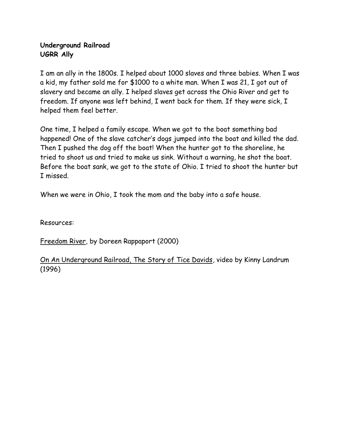## **Underground Railroad UGRR Ally**

I am an ally in the 1800s. I helped about 1000 slaves and three babies. When I was a kid, my father sold me for \$1000 to a white man. When I was 21, I got out of slavery and became an ally. I helped slaves get across the Ohio River and get to freedom. If anyone was left behind, I went back for them. If they were sick, I helped them feel better.

One time, I helped a family escape. When we got to the boat something bad happened! One of the slave catcher's dogs jumped into the boat and killed the dad. Then I pushed the dog off the boat! When the hunter got to the shoreline, he tried to shoot us and tried to make us sink. Without a warning, he shot the boat. Before the boat sank, we got to the state of Ohio. I tried to shoot the hunter but I missed.

When we were in Ohio, I took the mom and the baby into a safe house.

Resources:

Freedom River, by Doreen Rappaport (2000)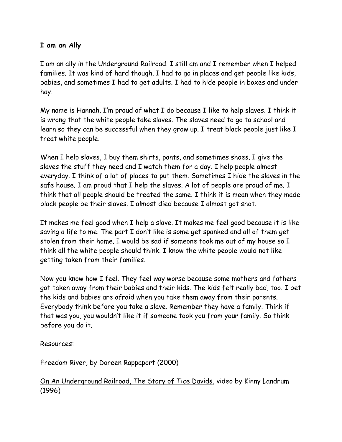#### **I am an Ally**

I am an ally in the Underground Railroad. I still am and I remember when I helped families. It was kind of hard though. I had to go in places and get people like kids, babies, and sometimes I had to get adults. I had to hide people in boxes and under hay.

My name is Hannah. I'm proud of what I do because I like to help slaves. I think it is wrong that the white people take slaves. The slaves need to go to school and learn so they can be successful when they grow up. I treat black people just like I treat white people.

When I help slaves, I buy them shirts, pants, and sometimes shoes. I give the slaves the stuff they need and I watch them for a day. I help people almost everyday. I think of a lot of places to put them. Sometimes I hide the slaves in the safe house. I am proud that I help the slaves. A lot of people are proud of me. I think that all people should be treated the same. I think it is mean when they made black people be their slaves. I almost died because I almost got shot.

It makes me feel good when I help a slave. It makes me feel good because it is like saving a life to me. The part I don't like is some get spanked and all of them get stolen from their home. I would be sad if someone took me out of my house so I think all the white people should think. I know the white people would not like getting taken from their families.

Now you know how I feel. They feel way worse because some mothers and fathers got taken away from their babies and their kids. The kids felt really bad, too. I bet the kids and babies are afraid when you take them away from their parents. Everybody think before you take a slave. Remember they have a family. Think if that was you, you wouldn't like it if someone took you from your family. So think before you do it.

Resources:

Freedom River, by Doreen Rappaport (2000)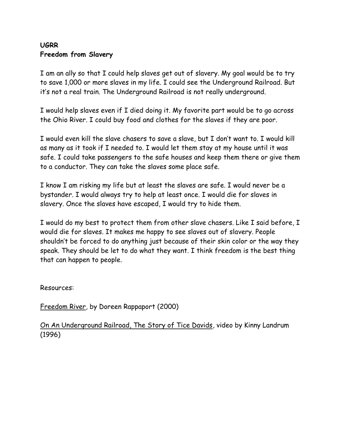## **UGRR Freedom from Slavery**

I am an ally so that I could help slaves get out of slavery. My goal would be to try to save 1,000 or more slaves in my life. I could see the Underground Railroad. But it's not a real train. The Underground Railroad is not really underground.

I would help slaves even if I died doing it. My favorite part would be to go across the Ohio River. I could buy food and clothes for the slaves if they are poor.

I would even kill the slave chasers to save a slave, but I don't want to. I would kill as many as it took if I needed to. I would let them stay at my house until it was safe. I could take passengers to the safe houses and keep them there or give them to a conductor. They can take the slaves some place safe.

I know I am risking my life but at least the slaves are safe. I would never be a bystander. I would always try to help at least once. I would die for slaves in slavery. Once the slaves have escaped, I would try to hide them.

I would do my best to protect them from other slave chasers. Like I said before, I would die for slaves. It makes me happy to see slaves out of slavery. People shouldn't be forced to do anything just because of their skin color or the way they speak. They should be let to do what they want. I think freedom is the best thing that can happen to people.

Resources:

Freedom River, by Doreen Rappaport (2000)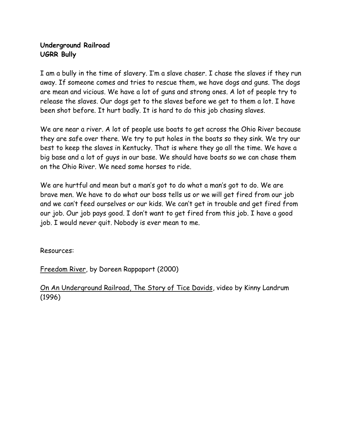## **Underground Railroad UGRR Bully**

I am a bully in the time of slavery. I'm a slave chaser. I chase the slaves if they run away. If someone comes and tries to rescue them, we have dogs and guns. The dogs are mean and vicious. We have a lot of guns and strong ones. A lot of people try to release the slaves. Our dogs get to the slaves before we get to them a lot. I have been shot before. It hurt badly. It is hard to do this job chasing slaves.

We are near a river. A lot of people use boats to get across the Ohio River because they are safe over there. We try to put holes in the boats so they sink. We try our best to keep the slaves in Kentucky. That is where they go all the time. We have a big base and a lot of guys in our base. We should have boats so we can chase them on the Ohio River. We need some horses to ride.

We are hurtful and mean but a man's got to do what a man's got to do. We are brave men. We have to do what our boss tells us or we will get fired from our job and we can't feed ourselves or our kids. We can't get in trouble and get fired from our job. Our job pays good. I don't want to get fired from this job. I have a good job. I would never quit. Nobody is ever mean to me.

Resources:

Freedom River, by Doreen Rappaport (2000)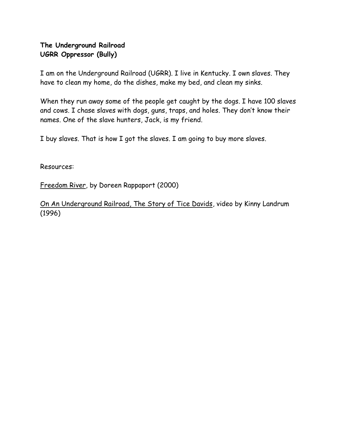## **The Underground Railroad UGRR Oppressor (Bully)**

I am on the Underground Railroad (UGRR). I live in Kentucky. I own slaves. They have to clean my home, do the dishes, make my bed, and clean my sinks.

When they run away some of the people get caught by the dogs. I have 100 slaves and cows. I chase slaves with dogs, guns, traps, and holes. They don't know their names. One of the slave hunters, Jack, is my friend.

I buy slaves. That is how I got the slaves. I am going to buy more slaves.

Resources:

Freedom River, by Doreen Rappaport (2000)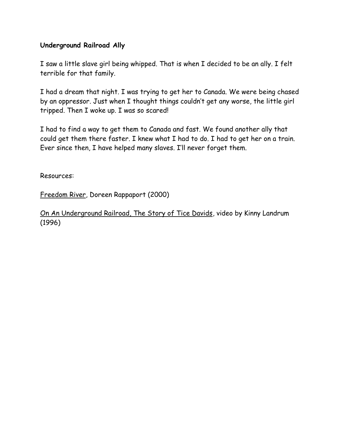#### **Underground Railroad Ally**

I saw a little slave girl being whipped. That is when I decided to be an ally. I felt terrible for that family.

I had a dream that night. I was trying to get her to Canada. We were being chased by an oppressor. Just when I thought things couldn't get any worse, the little girl tripped. Then I woke up. I was so scared!

I had to find a way to get them to Canada and fast. We found another ally that could get them there faster. I knew what I had to do. I had to get her on a train. Ever since then, I have helped many slaves. I'll never forget them.

Resources:

Freedom River, Doreen Rappaport (2000)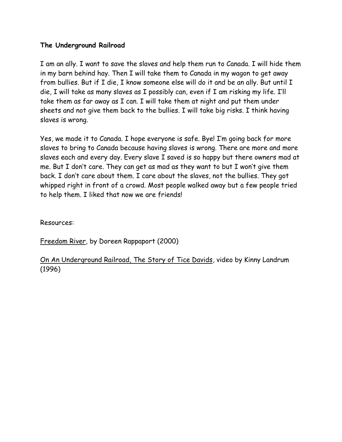#### **The Underground Railroad**

I am an ally. I want to save the slaves and help them run to Canada. I will hide them in my barn behind hay. Then I will take them to Canada in my wagon to get away from bullies. But if I die, I know someone else will do it and be an ally. But until I die, I will take as many slaves as I possibly can, even if I am risking my life. I'll take them as far away as I can. I will take them at night and put them under sheets and not give them back to the bullies. I will take big risks. I think having slaves is wrong.

Yes, we made it to Canada. I hope everyone is safe. Bye! I'm going back for more slaves to bring to Canada because having slaves is wrong. There are more and more slaves each and every day. Every slave I saved is so happy but there owners mad at me. But I don't care. They can get as mad as they want to but I won't give them back. I don't care about them. I care about the slaves, not the bullies. They got whipped right in front of a crowd. Most people walked away but a few people tried to help them. I liked that now we are friends!

Resources:

Freedom River, by Doreen Rappaport (2000)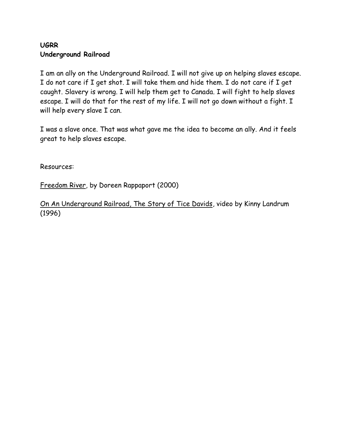## **UGRR Underground Railroad**

I am an ally on the Underground Railroad. I will not give up on helping slaves escape. I do not care if I get shot. I will take them and hide them. I do not care if I get caught. Slavery is wrong. I will help them get to Canada. I will fight to help slaves escape. I will do that for the rest of my life. I will not go down without a fight. I will help every slave I can.

I was a slave once. That was what gave me the idea to become an ally. And it feels great to help slaves escape.

Resources:

Freedom River, by Doreen Rappaport (2000)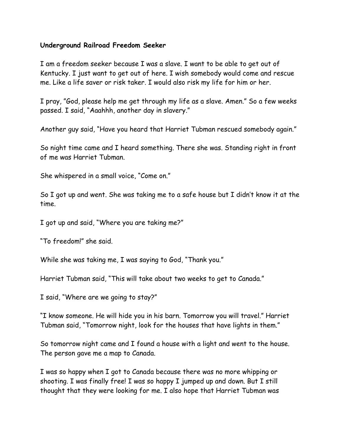#### **Underground Railroad Freedom Seeker**

I am a freedom seeker because I was a slave. I want to be able to get out of Kentucky. I just want to get out of here. I wish somebody would come and rescue me. Like a life saver or risk taker. I would also risk my life for him or her.

I pray, "God, please help me get through my life as a slave. Amen." So a few weeks passed. I said, "Aaahhh, another day in slavery."

Another guy said, "Have you heard that Harriet Tubman rescued somebody again."

So night time came and I heard something. There she was. Standing right in front of me was Harriet Tubman.

She whispered in a small voice, "Come on."

So I got up and went. She was taking me to a safe house but I didn't know it at the time.

I got up and said, "Where you are taking me?"

"To freedom!" she said.

While she was taking me, I was saying to God, "Thank you."

Harriet Tubman said, "This will take about two weeks to get to Canada."

I said, "Where are we going to stay?"

"I know someone. He will hide you in his barn. Tomorrow you will travel." Harriet Tubman said, "Tomorrow night, look for the houses that have lights in them."

So tomorrow night came and I found a house with a light and went to the house. The person gave me a map to Canada.

I was so happy when I got to Canada because there was no more whipping or shooting. I was finally free! I was so happy I jumped up and down. But I still thought that they were looking for me. I also hope that Harriet Tubman was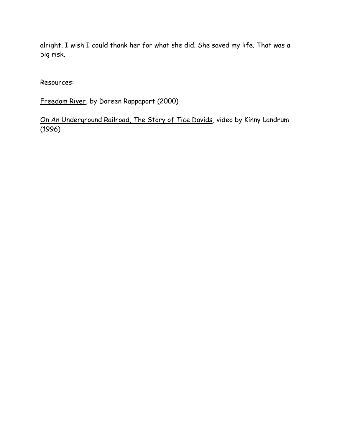alright. I wish I could thank her for what she did. She saved my life. That was a big risk.

Resources:

Freedom River, by Doreen Rappaport (2000)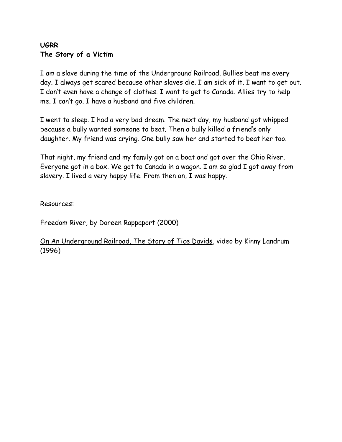## **UGRR The Story of a Victim**

I am a slave during the time of the Underground Railroad. Bullies beat me every day. I always get scared because other slaves die. I am sick of it. I want to get out. I don't even have a change of clothes. I want to get to Canada. Allies try to help me. I can't go. I have a husband and five children.

I went to sleep. I had a very bad dream. The next day, my husband got whipped because a bully wanted someone to beat. Then a bully killed a friend's only daughter. My friend was crying. One bully saw her and started to beat her too.

That night, my friend and my family got on a boat and got over the Ohio River. Everyone got in a box. We got to Canada in a wagon. I am so glad I got away from slavery. I lived a very happy life. From then on, I was happy.

Resources:

Freedom River, by Doreen Rappaport (2000)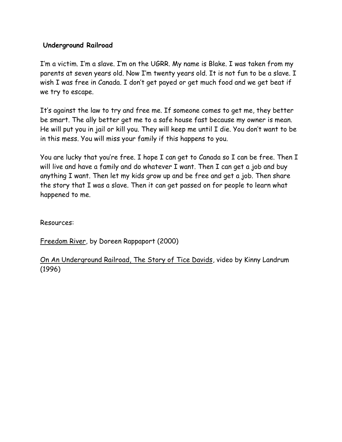#### **Underground Railroad**

I'm a victim. I'm a slave. I'm on the UGRR. My name is Blake. I was taken from my parents at seven years old. Now I'm twenty years old. It is not fun to be a slave. I wish I was free in Canada. I don't get payed or get much food and we get beat if we try to escape.

It's against the law to try and free me. If someone comes to get me, they better be smart. The ally better get me to a safe house fast because my owner is mean. He will put you in jail or kill you. They will keep me until I die. You don't want to be in this mess. You will miss your family if this happens to you.

You are lucky that you're free. I hope I can get to Canada so I can be free. Then I will live and have a family and do whatever I want. Then I can get a job and buy anything I want. Then let my kids grow up and be free and get a job. Then share the story that I was a slave. Then it can get passed on for people to learn what happened to me.

Resources:

Freedom River, by Doreen Rappaport (2000)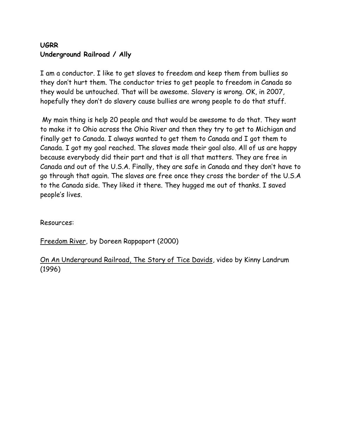## **UGRR Underground Railroad / Ally**

I am a conductor. I like to get slaves to freedom and keep them from bullies so they don't hurt them. The conductor tries to get people to freedom in Canada so they would be untouched. That will be awesome. Slavery is wrong. OK, in 2007, hopefully they don't do slavery cause bullies are wrong people to do that stuff.

My main thing is help 20 people and that would be awesome to do that. They want to make it to Ohio across the Ohio River and then they try to get to Michigan and finally get to Canada. I always wanted to get them to Canada and I got them to Canada. I got my goal reached. The slaves made their goal also. All of us are happy because everybody did their part and that is all that matters. They are free in Canada and out of the U.S.A. Finally, they are safe in Canada and they don't have to go through that again. The slaves are free once they cross the border of the U.S.A to the Canada side. They liked it there. They hugged me out of thanks. I saved people's lives.

Resources:

Freedom River, by Doreen Rappaport (2000)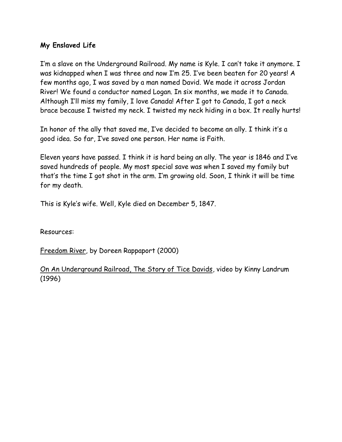## **My Enslaved Life**

I'm a slave on the Underground Railroad. My name is Kyle. I can't take it anymore. I was kidnapped when I was three and now I'm 25. I've been beaten for 20 years! A few months ago, I was saved by a man named David. We made it across Jordan River! We found a conductor named Logan. In six months, we made it to Canada. Although I'll miss my family, I love Canada! After I got to Canada, I got a neck brace because I twisted my neck. I twisted my neck hiding in a box. It really hurts!

In honor of the ally that saved me, I've decided to become an ally. I think it's a good idea. So far, I've saved one person. Her name is Faith.

Eleven years have passed. I think it is hard being an ally. The year is 1846 and I've saved hundreds of people. My most special save was when I saved my family but that's the time I got shot in the arm. I'm growing old. Soon, I think it will be time for my death.

This is Kyle's wife. Well, Kyle died on December 5, 1847.

Resources:

Freedom River, by Doreen Rappaport (2000)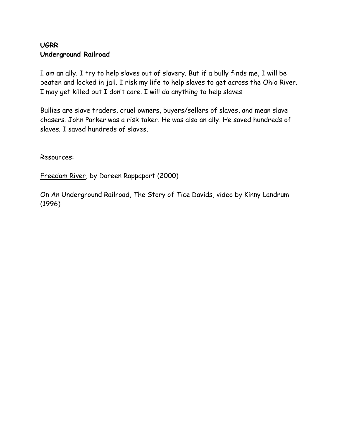## **UGRR Underground Railroad**

I am an ally. I try to help slaves out of slavery. But if a bully finds me, I will be beaten and locked in jail. I risk my life to help slaves to get across the Ohio River. I may get killed but I don't care. I will do anything to help slaves.

Bullies are slave traders, cruel owners, buyers/sellers of slaves, and mean slave chasers. John Parker was a risk taker. He was also an ally. He saved hundreds of slaves. I saved hundreds of slaves.

Resources:

Freedom River, by Doreen Rappaport (2000)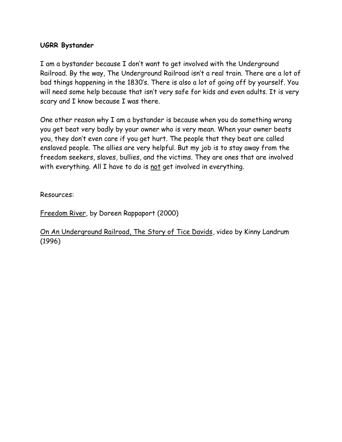#### **UGRR Bystander**

I am a bystander because I don't want to get involved with the Underground Railroad. By the way, The Underground Railroad isn't a real train. There are a lot of bad things happening in the 1830's. There is also a lot of going off by yourself. You will need some help because that isn't very safe for kids and even adults. It is very scary and I know because I was there.

One other reason why I am a bystander is because when you do something wrong you get beat very badly by your owner who is very mean. When your owner beats you, they don't even care if you get hurt. The people that they beat are called enslaved people. The allies are very helpful. But my job is to stay away from the freedom seekers, slaves, bullies, and the victims. They are ones that are involved with everything. All I have to do is not get involved in everything.

Resources:

Freedom River, by Doreen Rappaport (2000)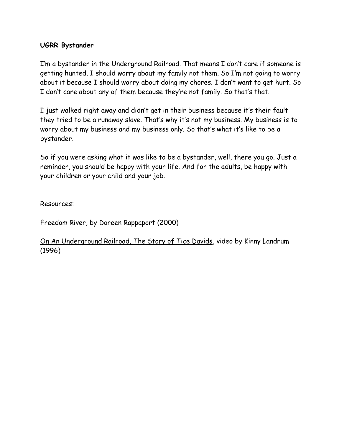#### **UGRR Bystander**

I'm a bystander in the Underground Railroad. That means I don't care if someone is getting hunted. I should worry about my family not them. So I'm not going to worry about it because I should worry about doing my chores. I don't want to get hurt. So I don't care about any of them because they're not family. So that's that.

I just walked right away and didn't get in their business because it's their fault they tried to be a runaway slave. That's why it's not my business. My business is to worry about my business and my business only. So that's what it's like to be a bystander.

So if you were asking what it was like to be a bystander, well, there you go. Just a reminder, you should be happy with your life. And for the adults, be happy with your children or your child and your job.

Resources:

Freedom River, by Doreen Rappaport (2000)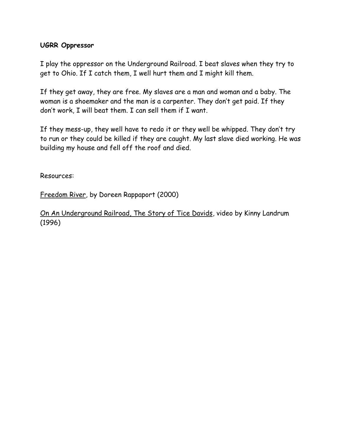#### **UGRR Oppressor**

I play the oppressor on the Underground Railroad. I beat slaves when they try to get to Ohio. If I catch them, I well hurt them and I might kill them.

If they get away, they are free. My slaves are a man and woman and a baby. The woman is a shoemaker and the man is a carpenter. They don't get paid. If they don't work, I will beat them. I can sell them if I want.

If they mess-up, they well have to redo it or they well be whipped. They don't try to run or they could be killed if they are caught. My last slave died working. He was building my house and fell off the roof and died.

Resources:

Freedom River, by Doreen Rappaport (2000)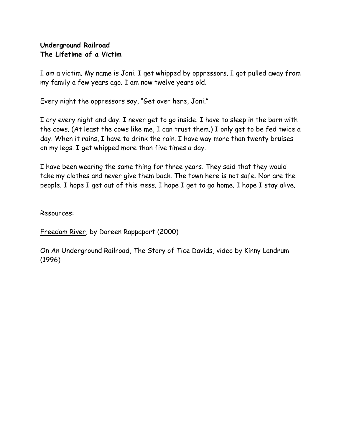## **Underground Railroad The Lifetime of a Victim**

I am a victim. My name is Joni. I get whipped by oppressors. I got pulled away from my family a few years ago. I am now twelve years old.

Every night the oppressors say, "Get over here, Joni."

I cry every night and day. I never get to go inside. I have to sleep in the barn with the cows. (At least the cows like me, I can trust them.) I only get to be fed twice a day. When it rains, I have to drink the rain. I have way more than twenty bruises on my legs. I get whipped more than five times a day.

I have been wearing the same thing for three years. They said that they would take my clothes and never give them back. The town here is not safe. Nor are the people. I hope I get out of this mess. I hope I get to go home. I hope I stay alive.

Resources:

Freedom River, by Doreen Rappaport (2000)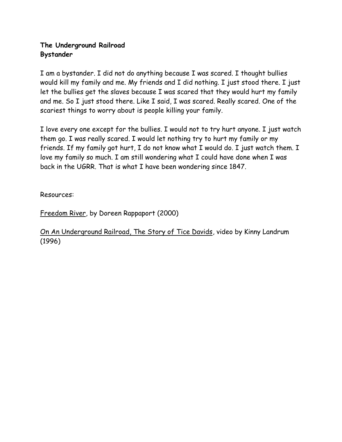## **The Underground Railroad Bystander**

I am a bystander. I did not do anything because I was scared. I thought bullies would kill my family and me. My friends and I did nothing. I just stood there. I just let the bullies get the slaves because I was scared that they would hurt my family and me. So I just stood there. Like I said, I was scared. Really scared. One of the scariest things to worry about is people killing your family.

I love every one except for the bullies. I would not to try hurt anyone. I just watch them go. I was really scared. I would let nothing try to hurt my family or my friends. If my family got hurt, I do not know what I would do. I just watch them. I love my family so much. I am still wondering what I could have done when I was back in the UGRR. That is what I have been wondering since 1847.

Resources:

Freedom River, by Doreen Rappaport (2000)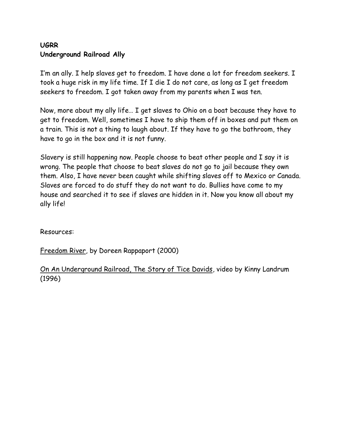## **UGRR Underground Railroad Ally**

I'm an ally. I help slaves get to freedom. I have done a lot for freedom seekers. I took a huge risk in my life time. If I die I do not care, as long as I get freedom seekers to freedom. I got taken away from my parents when I was ten.

Now, more about my ally life… I get slaves to Ohio on a boat because they have to get to freedom. Well, sometimes I have to ship them off in boxes and put them on a train. This is not a thing to laugh about. If they have to go the bathroom, they have to go in the box and it is not funny.

Slavery is still happening now. People choose to beat other people and I say it is wrong. The people that choose to beat slaves do not go to jail because they own them. Also, I have never been caught while shifting slaves off to Mexico or Canada. Slaves are forced to do stuff they do not want to do. Bullies have come to my house and searched it to see if slaves are hidden in it. Now you know all about my ally life!

Resources:

Freedom River, by Doreen Rappaport (2000)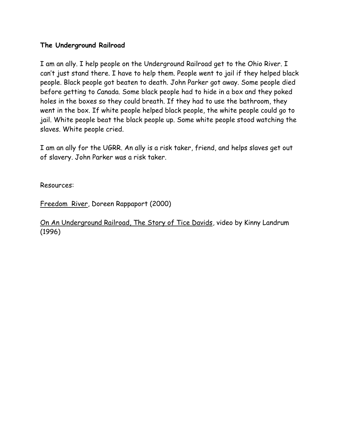#### **The Underground Railroad**

I am an ally. I help people on the Underground Railroad get to the Ohio River. I can't just stand there. I have to help them. People went to jail if they helped black people. Black people got beaten to death. John Parker got away. Some people died before getting to Canada. Some black people had to hide in a box and they poked holes in the boxes so they could breath. If they had to use the bathroom, they went in the box. If white people helped black people, the white people could go to jail. White people beat the black people up. Some white people stood watching the slaves. White people cried.

I am an ally for the UGRR. An ally is a risk taker, friend, and helps slaves get out of slavery. John Parker was a risk taker.

Resources:

Freedom River, Doreen Rappaport (2000)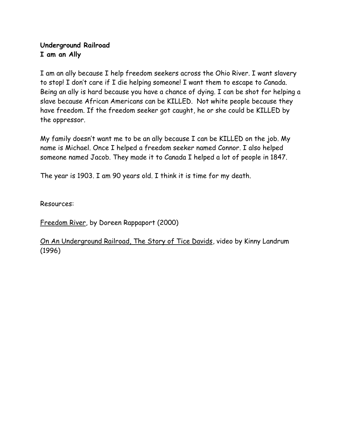## **Underground Railroad I am an Ally**

I am an ally because I help freedom seekers across the Ohio River. I want slavery to stop! I don't care if I die helping someone! I want them to escape to Canada. Being an ally is hard because you have a chance of dying. I can be shot for helping a slave because African Americans can be KILLED. Not white people because they have freedom. If the freedom seeker got caught, he or she could be KILLED by the oppressor.

My family doesn't want me to be an ally because I can be KILLED on the job. My name is Michael. Once I helped a freedom seeker named Connor. I also helped someone named Jacob. They made it to Canada I helped a lot of people in 1847.

The year is 1903. I am 90 years old. I think it is time for my death.

Resources:

Freedom River, by Doreen Rappaport (2000)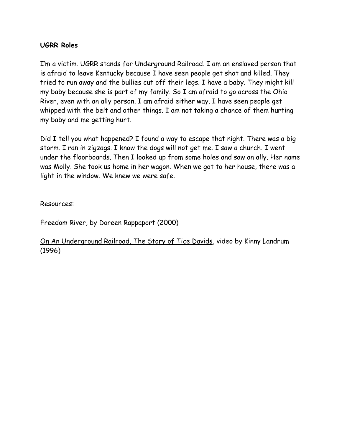#### **UGRR Roles**

I'm a victim. UGRR stands for Underground Railroad. I am an enslaved person that is afraid to leave Kentucky because I have seen people get shot and killed. They tried to run away and the bullies cut off their legs. I have a baby. They might kill my baby because she is part of my family. So I am afraid to go across the Ohio River, even with an ally person. I am afraid either way. I have seen people get whipped with the belt and other things. I am not taking a chance of them hurting my baby and me getting hurt.

Did I tell you what happened? I found a way to escape that night. There was a big storm. I ran in zigzags. I know the dogs will not get me. I saw a church. I went under the floorboards. Then I looked up from some holes and saw an ally. Her name was Molly. She took us home in her wagon. When we got to her house, there was a light in the window. We knew we were safe.

Resources:

Freedom River, by Doreen Rappaport (2000)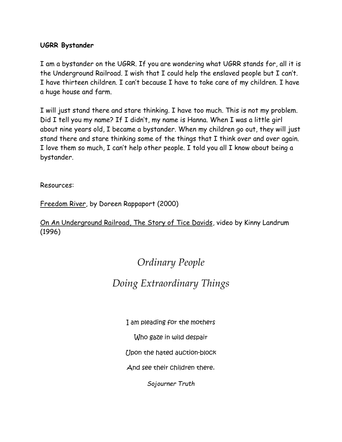#### **UGRR Bystander**

I am a bystander on the UGRR. If you are wondering what UGRR stands for, all it is the Underground Railroad. I wish that I could help the enslaved people but I can't. I have thirteen children. I can't because I have to take care of my children. I have a huge house and farm.

I will just stand there and stare thinking. I have too much. This is not my problem. Did I tell you my name? If I didn't, my name is Hanna. When I was a little girl about nine years old, I became a bystander. When my children go out, they will just stand there and stare thinking some of the things that I think over and over again. I love them so much, I can't help other people. I told you all I know about being a bystander.

Resources:

Freedom River, by Doreen Rappaport (2000)

On An Underground Railroad, The Story of Tice Davids, video by Kinny Landrum (1996)

# *Ordinary People*

## *Doing Extraordinary Things*

I am pleading for the mothers

Who gaze in wild despair

Upon the hated auction-block

And see their children there.

*Sojourner Truth*